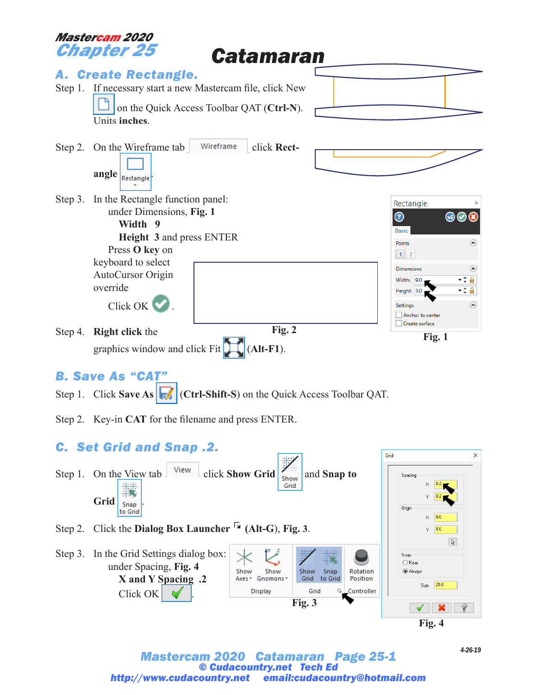

Grid <sub>Snap</sub> Origin to Grid  $\overline{0.0}$  $\times$ 

- Step 2. Click the **Dialog Box Launcher (Alt-G**), **Fig. 3**.
- Step 3. In the Grid Settings dialog box: Snap  $\bigcirc$  Near under Spacing, **Fig. 4** Show Show Show Snap **Rotation** (a) Always Axes \* Gnomons \* **X and Y Spacing .2** Grid to Grid Position  $25.0$ Size **Display** Grid Controller Click OK . **Fig. 3**  $\vee$   $\infty$

**Fig. 4**

 $Y = 0.0$ 

 $\mathbb{R}$ 

 $\Box$ 

#### *Mastercam 2020 Catamaran Page 25-1 © Cudacountry.net Tech Ed http://www.cudacountry.net email:cudacountry@hotmail.com*

*4-26-19*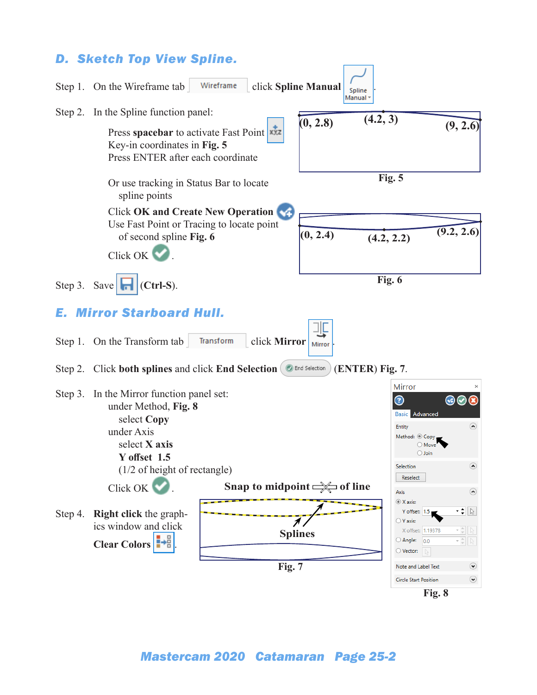## *D. Sketch Top View Spline.*

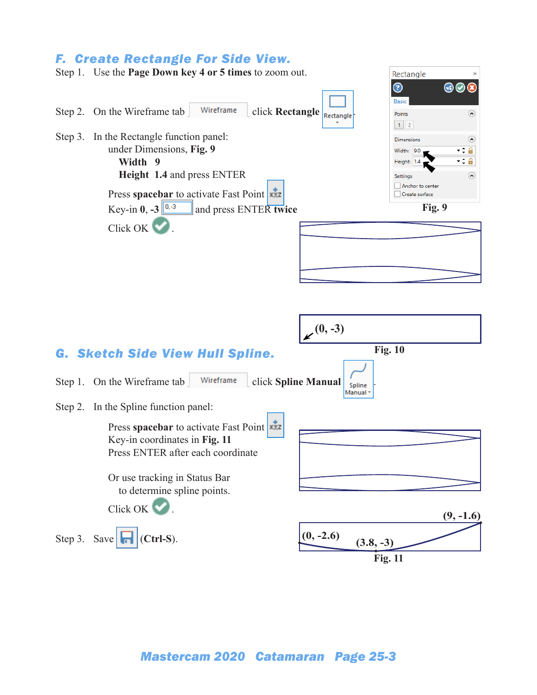### *F. Create Rectangle For Side View.*



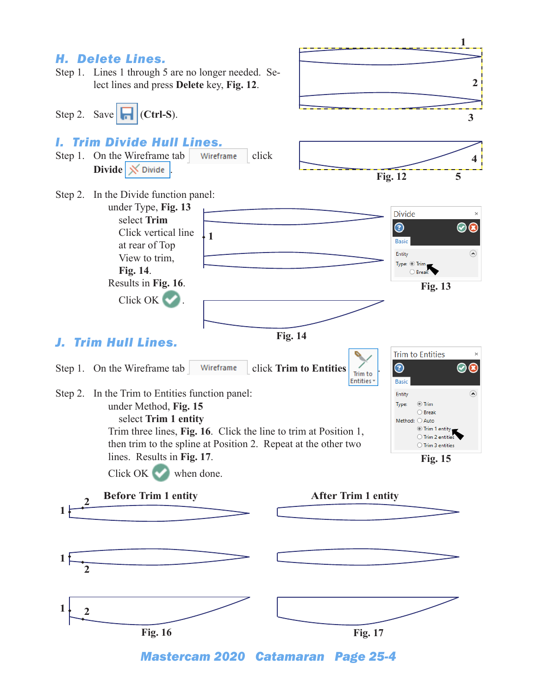

*Mastercam 2020 Catamaran Page 25-4*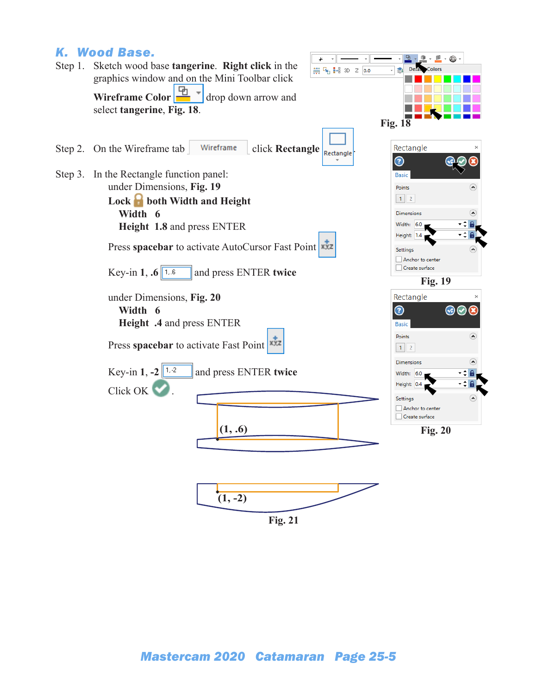# *K. Wood Base.*

|  | Step 1. Sketch wood base tangerine. Right click in the<br>带 4 H 3D Z 0.0<br>graphics window and on the Mini Toolbar click | $\cdot$ . $\circ$ .<br>Deta Colors                          |
|--|---------------------------------------------------------------------------------------------------------------------------|-------------------------------------------------------------|
|  | <b>Wireframe Color</b> $\frac{1}{\sqrt{2}}$ drop down arrow and<br>select tangerine, Fig. 18.                             |                                                             |
|  |                                                                                                                           | <b>Fig. 18</b>                                              |
|  | Wireframe<br>Step 2. On the Wireframe tab<br>click Rectangle<br>Rectangle                                                 | Rectangle<br>$\odot$                                        |
|  | Step 3. In the Rectangle function panel:<br>under Dimensions, Fig. 19                                                     | <b>Basic</b><br>$\blacktriangle$<br>Points                  |
|  | Lock <b>b</b> both Width and Height<br>Width 6                                                                            | $1 \mid 2$<br>Dimensions                                    |
|  | Height 1.8 and press ENTER                                                                                                | Width: 6.0<br>Height: 1.4                                   |
|  | Press spacebar to activate AutoCursor Fast Point                                                                          | Settings<br>Anchor to center                                |
|  | Key-in 1, .6 $1.6$<br>and press ENTER twice                                                                               | Create surface<br><b>Fig. 19</b>                            |
|  | under Dimensions, Fig. 20<br>Width 6<br>Height .4 and press ENTER                                                         | Rectangle<br>$\odot$<br>$\circledcirc\circ$<br><b>Basic</b> |
|  | Press spacebar to activate Fast Point                                                                                     | $\left( \right.$<br>Points<br>$1 \mid 2$                    |
|  | Key-in 1, $-2$ $\sqrt{1.2}$<br>and press ENTER twice                                                                      | <b>Dimensions</b><br>Width: 6.0<br>Height: 0.4              |
|  | Click OK                                                                                                                  | Settings<br>Anchor to center<br>Create surface              |
|  | (1, .6)                                                                                                                   | <b>Fig. 20</b>                                              |
|  |                                                                                                                           |                                                             |
|  | $(1, -2)$                                                                                                                 |                                                             |

 $\equiv$ 

**Fig. 21**